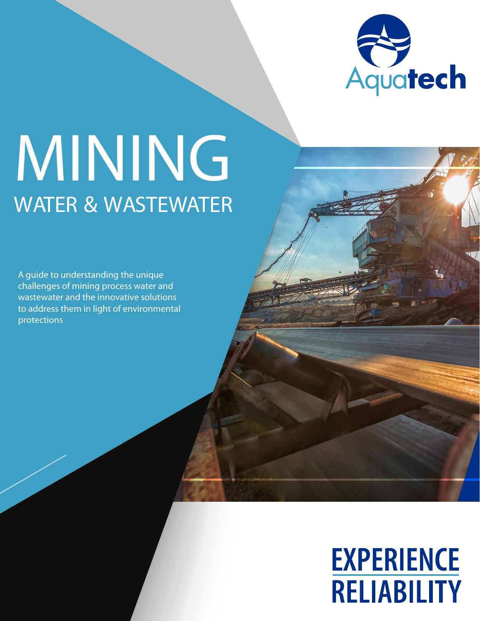

# WATER & WASTEWATER MINING

A guide to understanding the unique challenges of mining process water and wastewater and the innovative solutions to address them in light of environmental protections

## **EXPERIENCE RELIABILITY**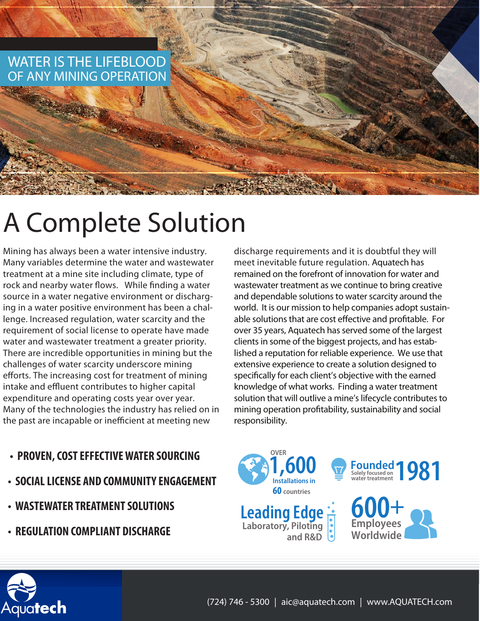

## A Complete Solution

Mining has always been a water intensive industry. Many variables determine the water and wastewater treatment at a mine site including climate, type of rock and nearby water flows. While finding a water source in a water negative environment or discharging in a water positive environment has been a challenge. Increased regulation, water scarcity and the requirement of social license to operate have made water and wastewater treatment a greater priority. There are incredible opportunities in mining but the challenges of water scarcity underscore mining efforts. The increasing cost for treatment of mining intake and effluent contributes to higher capital expenditure and operating costs year over year. Many of the technologies the industry has relied on in the past are incapable or inefficient at meeting new

- **PROVEN, COST EFFECTIVE WATER SOURCING**
- **SOCIAL LICENSE AND COMMUNITY ENGAGEMENT**
- **WASTEWATER TREATMENT SOLUTIONS**
- **REGULATION COMPLIANT DISCHARGE**

discharge requirements and it is doubtful they will meet inevitable future regulation. Aquatech has remained on the forefront of innovation for water and wastewater treatment as we continue to bring creative and dependable solutions to water scarcity around the world. It is our mission to help companies adopt sustainable solutions that are cost effective and profitable. For over 35 years, Aquatech has served some of the largest clients in some of the biggest projects, and has established a reputation for reliable experience. We use that extensive experience to create a solution designed to specifically for each client's objective with the earned knowledge of what works. Finding a water treatment solution that will outlive a mine's lifecycle contributes to mining operation profitability, sustainability and social responsibility.



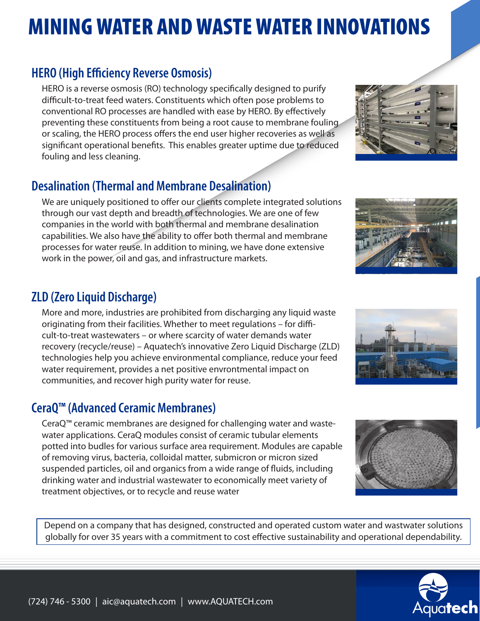## MINING WATER AND WASTE WATER INNOVATIONS

#### **HERO (High Efficiency Reverse Osmosis)**

HERO is a reverse osmosis (RO) technology specifically designed to purify difficult-to-treat feed waters. Constituents which often pose problems to conventional RO processes are handled with ease by HERO. By effectively preventing these constituents from being a root cause to membrane fouling or scaling, the HERO process offers the end user higher recoveries as well as significant operational benefits. This enables greater uptime due to reduced fouling and less cleaning.

#### **Desalination (Thermal and Membrane Desalination)**

We are uniquely positioned to offer our clients complete integrated solutions through our vast depth and breadth of technologies. We are one of few companies in the world with both thermal and membrane desalination capabilities. We also have the ability to offer both thermal and membrane processes for water reuse. In addition to mining, we have done extensive work in the power, oil and gas, and infrastructure markets.

#### **ZLD (Zero Liquid Discharge)**

More and more, industries are prohibited from discharging any liquid waste originating from their facilities. Whether to meet regulations – for difficult-to-treat wastewaters – or where scarcity of water demands water recovery (recycle/reuse) – Aquatech's innovative Zero Liquid Discharge (ZLD) technologies help you achieve environmental compliance, reduce your feed water requirement, provides a net positive envrontmental impact on communities, and recover high purity water for reuse.

#### **CeraQ™ (Advanced Ceramic Membranes)**

CeraQ™ ceramic membranes are designed for challenging water and wastewater applications. CeraQ modules consist of ceramic tubular elements potted into budles for various surface area requirement. Modules are capable of removing virus, bacteria, colloidal matter, submicron or micron sized suspended particles, oil and organics from a wide range of fluids, including drinking water and industrial wastewater to economically meet variety of treatment objectives, or to recycle and reuse water

Depend on a company that has designed, constructed and operated custom water and wastwater solutions globally for over 35 years with a commitment to cost effective sustainability and operational dependability.